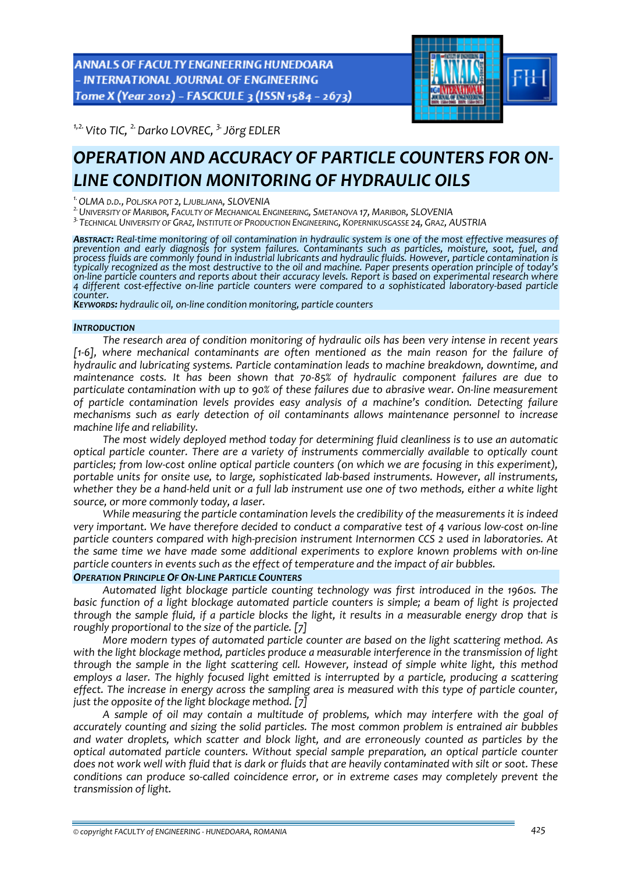**ANNALS OF FACULTY ENGINEERING HUNEDOARA** - INTERNATIONAL JOURNAL OF ENGINEERING Tome X (Year 2012) - FASCICULE 3 (ISSN 1584 - 2673)



*1,2.Vito TIC, 2.Darko LOVREC, 3.Jörg EDLER* 

# *OPERATION AND ACCURACY OF PARTICLE COUNTERS FOR ON‐ LINE CONDITION MONITORING OF HYDRAULIC OILS*

<sup>1</sup> OLMA D.D., POLJSKA POT 2, LJUBLJANA, SLOVENIA<br><sup>2.</sup> University of Maribor, Faculty of Mechanical Engineering, Smetanova 17, Maribor, SLOVENIA

*3.TECHNICAL UNIVERSITY OF GRAZ, INSTITUTE OF PRODUCTION ENGINEERING, KOPERNIKUSGASSE 24, GRAZ, AUSTRIA*

ABSTRACT: Real-time monitoring of oil contamination in hydraulic system is one of the most effective measures of *prevention and early diagnosis for system failures. Contaminants such as particles, moisture, soot, fuel, and process fluids are commonly found in industrial lubricants and hydraulic fluids. However, particle contamination is* typically recognized as the most destructive to the oil and machine. Paper presents operation principle of today's on line particle counters and reports about their accuracy levels. Report is based on experimental research where 4 different cost-effective on-line particle counters were compared to a sophisticated laboratory-based particle<br>counter.

*counter. KEYWORDS: hydraulic oil, on‐line condition monitoring, particle counters*

## *INTRODUCTION*

*The research area of condition monitoring of hydraulic oils has been very intense in recent years [1‐6], where mechanical contaminants are often mentioned as the main reason for the failure of hydraulic and lubricating systems. Particle contamination leads to machine breakdown, downtime, and maintenance costs. It has been shown that 70‐85% of hydraulic component failures are due to particulate contamination with up to 90% of these failures due to abrasive wear. On‐line measurement of particle contamination levels provides easy analysis of a machine's condition. Detecting failure mechanisms such as early detection of oil contaminants allows maintenance personnel to increase machine life and reliability.* 

*The most widely deployed method today for determining fluid cleanliness is to use an automatic optical particle counter. There are a variety of instruments commercially available to optically count particles; from low‐cost online optical particle counters (on which we are focusing in this experiment), portable units for onsite use, to large, sophisticated lab‐based instruments. However, all instruments,* whether they be a hand-held unit or a full lab instrument use one of two methods, either a white light *source, or more commonly today, a laser.* 

*While measuring the particle contamination levels the credibility of the measurements it is indeed* very important. We have therefore decided to conduct a comparative test of 4 various low-cost on-line *particle counters compared with high‐precision instrument Internormen CCS 2 used in laboratories. At the same time we have made some additional experiments to explore known problems with on‐line particle counters in events such as the effect of temperature and the impact of air bubbles.*

## *OPERATION PRINCIPLE OF ON‐LINE PARTICLE COUNTERS*

*Automated light blockage particle counting technology was first introduced in the 1960s. The basic function of a light blockage automated particle counters is simple; a beam of light is projected* through the sample fluid, if a particle blocks the light, it results in a measurable energy drop that is *roughly proportional to the size of the particle. [7]*

*More modern types of automated particle counter are based on the light scattering method. As with the light blockage method, particles produce a measurable interference in the transmission of light through the sample in the light scattering cell. However, instead of simple white light, this method employs a laser. The highly focused light emitted is interrupted by a particle, producing a scattering effect. The increase in energy across the sampling area is measured with this type of particle counter, just the opposite of the light blockage method. [7]* 

*A sample of oil may contain a multitude of problems, which may interfere with the goal of accurately counting and sizing the solid particles. The most common problem is entrained air bubbles and water droplets, which scatter and block light, and are erroneously counted as particles by the optical automated particle counters. Without special sample preparation, an optical particle counter* does not work well with fluid that is dark or fluids that are heavily contaminated with silt or soot. These *conditions can produce so‐called coincidence error, or in extreme cases may completely prevent the transmission of light.*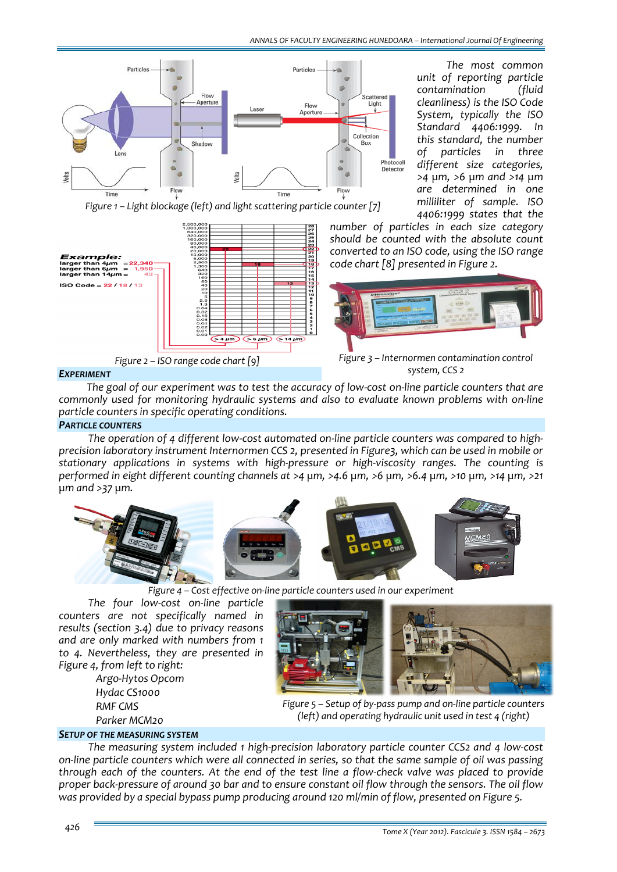

*The most common unit of reporting particle contamination (fluid cleanliness) is the ISO Code System, typically the ISO Standard 4406:1999. In this standard, the number of particles in three different size categories, >4 µm, >6 µm and >14 µm are determined in one milliliter of sample. ISO 4406:1999 states that the*

*Figure 1 – Light blockage (left) and light scattering particle counter [7]*



*number of particles in each size category should be counted with the absolute count converted to an ISO code, using the ISO range code chart [8] presented in Figure 2.*



*system, CCS 2*

# *EXPERIMENT*

The goal of our experiment was to test the accuracy of low-cost on-line particle counters that are *commonly used for monitoring hydraulic systems and also to evaluate known problems with on‐line particle counters in specific operating conditions.*

# *PARTICLE COUNTERS*

The operation of 4 different low-cost automated on-line particle counters was compared to high*precision laboratory instrument Internormen CCS 2, presented in Figure3, which can be used in mobile or stationary applications in systems with high‐pressure or high‐viscosity ranges. The counting is* performed in eight different counting channels at >4 um, >4.6 um, >6 um, >6.4 um, >10 um, >14 um, >21 *µm and >37 µm.* 



 *Figure <sup>4</sup> – Cost effective on‐line particle counters used in our experiment*

*The four low‐cost on‐line particle counters are not specifically named in results (section 3.4) due to privacy reasons and are only marked with numbers from 1 to 4. Nevertheless, they are presented in Figure 4, from left to right:*

 *Argo‐Hytos Opcom Hydac CS1000 RMF CMS Parker MCM20*



*Figure 5 – Setup of by‐pass pump and on‐line particle counters (left) and operating hydraulic unit used in test 4 (right)*

# *SETUP OF THE MEASURING SYSTEM*

*The measuring system included 1 high‐precision laboratory particle counter CCS2 and 4 low‐cost* on-line particle counters which were all connected in series, so that the same sample of oil was passing through each of the counters. At the end of the test line a flow-check valve was placed to provide proper back-pressure of around 30 bar and to ensure constant oil flow through the sensors. The oil flow *was provided by a special bypass pump producing around 120 ml/min of flow, presented on Figure 5.*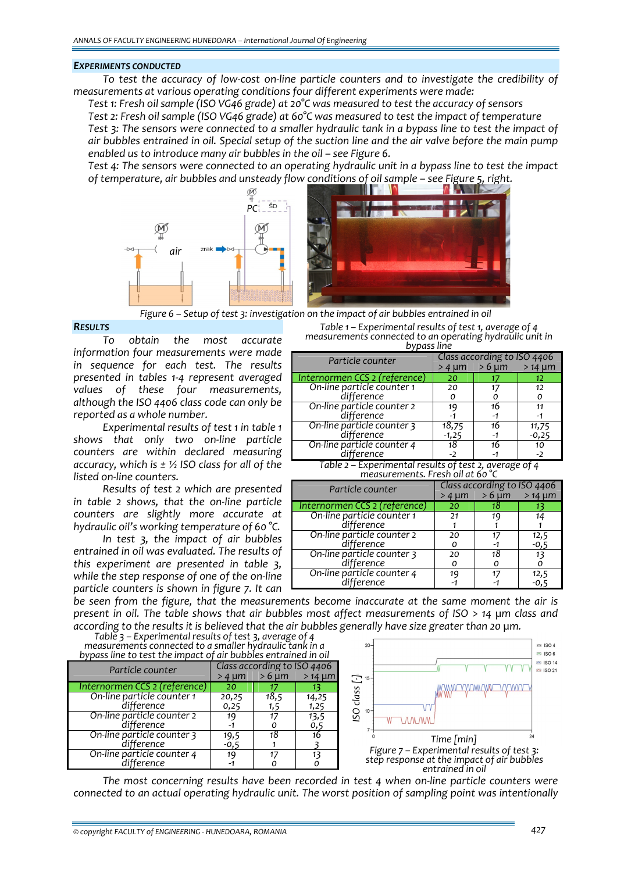#### *EXPERIMENTS CONDUCTED*

To test the accuracy of low-cost on-line particle counters and to investigate the credibility of *measurements at various operating conditions four different experiments were made:*

 *Test 1: Fresh oil sample (ISO VG46 grade) at 20°C was measured to test the accuracy of sensors Test 2: Fresh oil sample (ISO VG46 grade) at 60°C was measured to test the impact of temperature* Test 3: The sensors were connected to a smaller hydraulic tank in a bypass line to test the impact of air bubbles entrained in oil. Special setup of the suction line and the air valve before the main pump *enabled us to introduce many air bubbles in the oil – see Figure 6.* 

Test 4: The sensors were connected to an operating hydraulic unit in a bypass line to test the impact *of temperature, air bubbles and unsteady flow conditions of oil sample – see Figure 5, right.* 



 *Figure <sup>6</sup> – Setup of test 3: investigation on the impact of air bubbles entrained in oil*

# *RESULTS*

*To obtain the most accurate information four measurements were made in sequence for each test. The results presented in tables 1‐4 represent averaged values of these four measurements, although the ISO 4406 class code can only be reported as a whole number.*

*Experimental results of test 1 in table 1 shows that only two on‐line particle counters are within declared measuring accuracy, which is ± ½ ISO class for all of the listed on‐line counters.* 

*Results of test 2 which are presented in table 2 shows, that the on‐line particle counters are slightly more accurate at hydraulic oil's working temperature of 60 °C.*

*In test 3, the impact of air bubbles entrained in oil was evaluated. The results of this experiment are presented in table 3, while the step response of one of the on‐line particle counters is shown in figure 7. It can*

| measurements connected to an operating hydraulic unit in<br>bypass line |                                                                   |  |  |
|-------------------------------------------------------------------------|-------------------------------------------------------------------|--|--|
| Particle counter                                                        | Class according to ISO 4406<br>$>4 \text{ nm}$ > 6 um<br>$>14$ um |  |  |
|                                                                         |                                                                   |  |  |
| – Internormen CCS وInternorme                                           |                                                                   |  |  |

*Table 1 – Experimental results of test 1, average of 4*

|                               | 24 UU   | 20 UH | $214$ MIII |
|-------------------------------|---------|-------|------------|
| Internormen CCS 2 (reference) | 20      |       | 12         |
| On-line particle counter 1    | 20      |       | 12         |
| difference                    |         |       |            |
| On-line particle counter 2    | 19      | 16    |            |
| difference                    |         | -1    |            |
| On-line particle counter 3    | 18,75   | 16    | 11,75      |
| difference                    | $-1,25$ | -1    | $-0,25$    |
| On-line particle counter 4    | 18      | 16    | 10         |
| difference                    | - 2     |       | $-2$       |

*Table 2 – Experimental results of test 2, average of 4 measurements. Fresh oil at 60 °C*

| Particle counter                         | Class according to ISO 4406 |            |             |
|------------------------------------------|-----------------------------|------------|-------------|
|                                          | $>4 \mu m$                  | $>6 \mu m$ | $>14 \mu m$ |
| Internormen CCS 2 (reference)            | 20                          | 18         |             |
| On-line particle counter 1<br>difference | 21                          | 19         |             |
|                                          |                             |            |             |
| On-line particle counter 2<br>difference | 20                          | 17         | 12,5        |
|                                          |                             |            | -0.5        |
| On-line particle counter 3               | 20                          | 18         | 13          |
| difference                               |                             |            |             |
| On-line particle counter 4               |                             |            | 12,5        |
| difference                               |                             |            |             |

*be seen from the figure, that the measurements become inaccurate at the same moment the air is* present in oil. The table shows that air bubbles most affect measurements of ISO > 14 µm class and according to the results it is believed that the air bubbles generally have size greater than 20 µm.

*Table 3 – Experimental results of test 3, average of 4 measurements connected to a smaller hydraulic tank in a bypass line to test the impact of air bubbles entrained in oil*

| Dypuss line to test the impute of all bubbles entrumed in oil |                                                                         |      |                 |
|---------------------------------------------------------------|-------------------------------------------------------------------------|------|-----------------|
| Particle counter                                              | Class according to ISO 4406<br>$>6 \mu m$<br>$> 14 \mu m$<br>$>4 \mu m$ |      |                 |
| Internormen CCS 2 (reference)                                 | 20                                                                      |      |                 |
| On-line particle counter 1                                    | 20,25                                                                   | 18,5 | 14,25           |
| difference                                                    | 0,25                                                                    | 1,5  | 1,25            |
| On-line particle counter 2                                    | 19                                                                      | 17   | $^{13,5}_{0,5}$ |
| difference                                                    |                                                                         |      |                 |
| On-line particle counter 3                                    | 19,5                                                                    | 18   | 16              |
| difference                                                    | $-0,5$                                                                  |      |                 |
| On-line particle counter 4                                    | 19                                                                      |      |                 |
| difference                                                    |                                                                         |      |                 |



*The most concerning results have been recorded in test 4 when on‐line particle counters were connected to an actual operating hydraulic unit. The worst position of sampling point was intentionally*